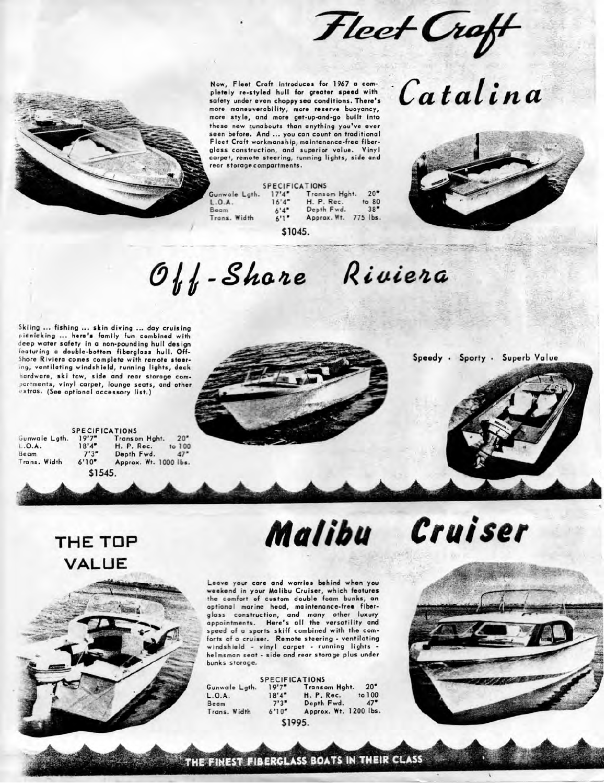Fleet Craft **Now, Fleet Craft introduces for 1967 a com-**



|               | <b>SPECIFICATIONS</b> |               |          |
|---------------|-----------------------|---------------|----------|
| Gunwole Lath. | 17'4''                | Transom Haht. | 20"      |
| L.0.A.        | 16'4''                | H. P. Rec.    | to 80    |
| Beam          | 6'4''                 | Depth Fwd.    | 38"      |
| Trans. Width  | 6'1''                 | Approx. Wt.   | 775 lbs. |

**\$1045.**

## Catalina

### $O_{th}$ -Shore *Rivieia,*

Skiing ... fishing ... skin diving ... day cruising picnicking ... here's family fun combined with deep water safety in a non-pounding hull design featuring a double-bottom fiberglass hull. Off-Shore Riviera comes complete with remote steering, ventilating windshield, running lights, deck hardware, ski tow, side and rear storage compartments, vinyl carpet, lounge seats, and other i-xtras, (See optional accessory list.)

Speedy · Sporty · Superb Value



#### SPECIFICATIONS

 $20"$  $\circ$  100  $47'$ 

| Gunwale Lath. | 19'7"   | Transom Haht.         | 20"    |
|---------------|---------|-----------------------|--------|
| L.D.A.        | 18'4"   | H. P. Rec.            | to 100 |
| Beam          | 7'3''   | Depth Fwd.            | 47"    |
| Trans. Width  | 6'10"   | Approx. Wt. 1000 lbs. |        |
|               | \$1545. |                       |        |

# *Cruiser*

THE TOP VALUE



Leave your care and worries behind when you weekend in your Malibu Cruiser, which features the comfort of custom double foam bunks, an optional marine head, maintenance-free fiberglass construction, and many other luxury appointments. Here's all the versatility and speed of a sports skiff combined with the comforts of a cruiser. Remote steering - ventilating windshield - vinyl carpet - running lights helmsman seat - side and rear storage plus under bunks storage.

|               | <b>SPECIFICATIONS</b> |                       |        |
|---------------|-----------------------|-----------------------|--------|
| Gunwale Lgth. | 19'7''                | Transom Hght.         | 20"    |
| L.0.A.        | 18'4''                | H. P. Rec.            | to 100 |
| Beam          | 7'3''                 | Depth Fwd.            | 47"    |
| Trans. Width  | 6'10''                | Approx. Wt. 1200 lbs. |        |
|               |                       |                       |        |



THE FINEST FIBERGLASS BOATS IN THEIR CLASS